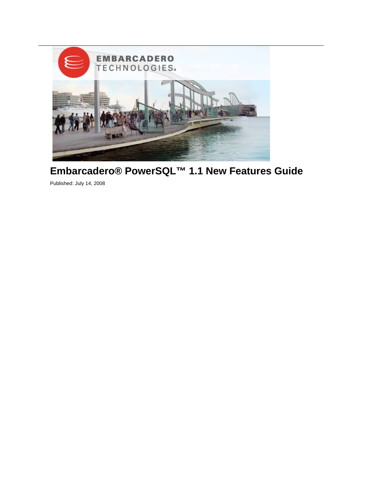

## **Embarcadero® PowerSQL™ 1.1 New Features Guide**

Published: July 14, 2008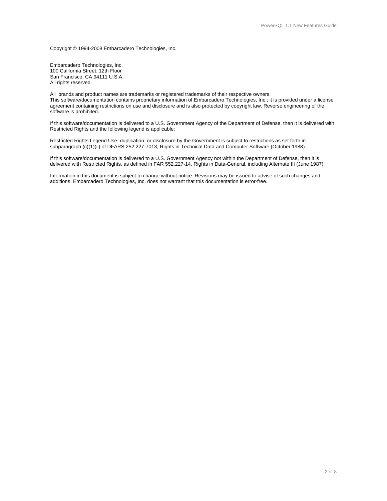Copyright © 1994-2008 Embarcadero Technologies, Inc.

Embarcadero Technologies, Inc. 100 California Street, 12th Floor San Francisco, CA 94111 U.S.A. All rights reserved.

All brands and product names are trademarks or registered trademarks of their respective owners. This software/documentation contains proprietary information of Embarcadero Technologies, Inc.; it is provided under a license agreement containing restrictions on use and disclosure and is also protected by copyright law. Reverse engineering of the software is prohibited.

If this software/documentation is delivered to a U.S. Government Agency of the Department of Defense, then it is delivered with Restricted Rights and the following legend is applicable:

Restricted Rights Legend Use, duplication, or disclosure by the Government is subject to restrictions as set forth in subparagraph (c)(1)(ii) of DFARS 252.227-7013, Rights in Technical Data and Computer Software (October 1988).

If this software/documentation is delivered to a U.S. Government Agency not within the Department of Defense, then it is delivered with Restricted Rights, as defined in FAR 552.227-14, Rights in Data-General, including Alternate III (June 1987).

Information in this document is subject to change without notice. Revisions may be issued to advise of such changes and additions. Embarcadero Technologies, Inc. does not warrant that this documentation is error-free.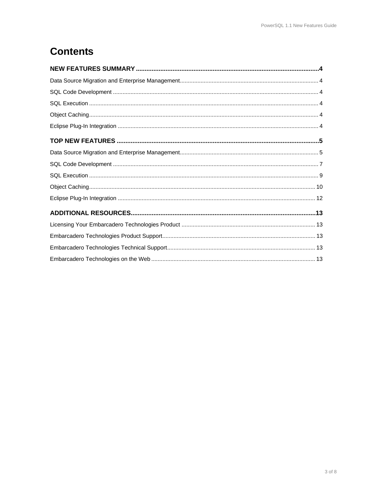# **Contents**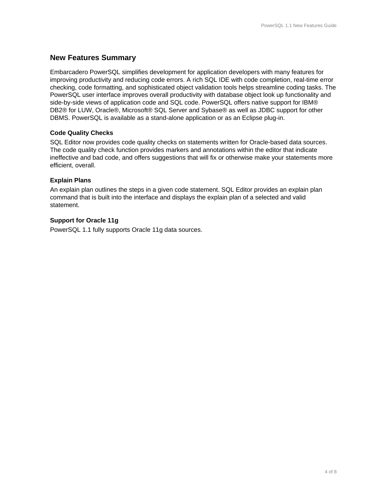### **New Features Summary**

Embarcadero PowerSQL simplifies development for application developers with many features for improving productivity and reducing code errors. A rich SQL IDE with code completion, real-time error checking, code formatting, and sophisticated object validation tools helps streamline coding tasks. The PowerSQL user interface improves overall productivity with database object look up functionality and side-by-side views of application code and SQL code. PowerSQL offers native support for IBM® DB2® for LUW, Oracle®, Microsoft® SQL Server and Sybase® as well as JDBC support for other DBMS. PowerSQL is available as a stand-alone application or as an Eclipse plug-in.

#### **Code Quality Checks**

SQL Editor now provides code quality checks on statements written for Oracle-based data sources. The code quality check function provides markers and annotations within the editor that indicate ineffective and bad code, and offers suggestions that will fix or otherwise make your statements more efficient, overall.

#### **Explain Plans**

An explain plan outlines the steps in a given code statement. SQL Editor provides an explain plan command that is built into the interface and displays the explain plan of a selected and valid statement.

#### **Support for Oracle 11g**

PowerSQL 1.1 fully supports Oracle 11g data sources.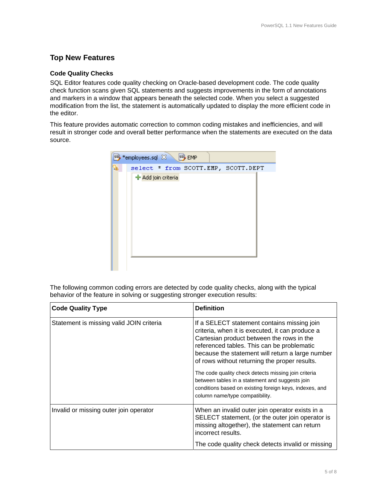## **Top New Features**

#### **Code Quality Checks**

SQL Editor features code quality checking on Oracle-based development code. The code quality check function scans given SQL statements and suggests improvements in the form of annotations and markers in a window that appears beneath the selected code. When you select a suggested modification from the list, the statement is automatically updated to display the more efficient code in the editor.

This feature provides automatic correction to common coding mistakes and inefficiencies, and will result in stronger code and overall better performance when the statements are executed on the data source.

| say *employees.sql $\boxtimes$<br>say EMP |  |
|-------------------------------------------|--|
| select * from SCOTT.EMP, SCOTT.DEPT<br>W  |  |
| ← Add join criteria                       |  |

The following common coding errors are detected by code quality checks, along with the typical behavior of the feature in solving or suggesting stronger execution results:

| <b>Code Quality Type</b>                 | <b>Definition</b>                                                                                                                                                                                                                                                                                                                                                                                                                                                                                       |
|------------------------------------------|---------------------------------------------------------------------------------------------------------------------------------------------------------------------------------------------------------------------------------------------------------------------------------------------------------------------------------------------------------------------------------------------------------------------------------------------------------------------------------------------------------|
| Statement is missing valid JOIN criteria | If a SELECT statement contains missing join<br>criteria, when it is executed, it can produce a<br>Cartesian product between the rows in the<br>referenced tables. This can be problematic<br>because the statement will return a large number<br>of rows without returning the proper results.<br>The code quality check detects missing join criteria<br>between tables in a statement and suggests join<br>conditions based on existing foreign keys, indexes, and<br>column name/type compatibility. |
| Invalid or missing outer join operator   | When an invalid outer join operator exists in a<br>SELECT statement, (or the outer join operator is<br>missing altogether), the statement can return<br>incorrect results.<br>The code quality check detects invalid or missing                                                                                                                                                                                                                                                                         |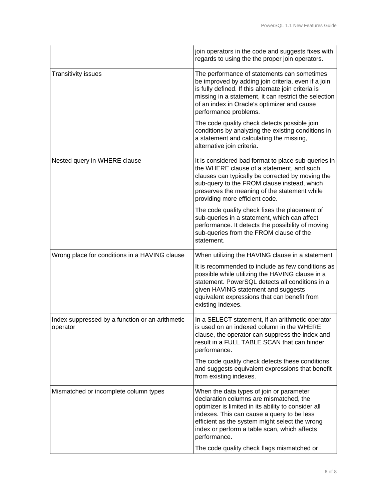|                                                             | join operators in the code and suggests fixes with<br>regards to using the the proper join operators.                                                                                                                                                                                                      |
|-------------------------------------------------------------|------------------------------------------------------------------------------------------------------------------------------------------------------------------------------------------------------------------------------------------------------------------------------------------------------------|
| <b>Transitivity issues</b>                                  | The performance of statements can sometimes<br>be improved by adding join criteria, even if a join<br>is fully defined. If this alternate join criteria is<br>missing in a statement, it can restrict the selection<br>of an index in Oracle's optimizer and cause<br>performance problems.                |
|                                                             | The code quality check detects possible join<br>conditions by analyzing the existing conditions in<br>a statement and calculating the missing,<br>alternative join criteria.                                                                                                                               |
| Nested query in WHERE clause                                | It is considered bad format to place sub-queries in<br>the WHERE clause of a statement, and such<br>clauses can typically be corrected by moving the<br>sub-query to the FROM clause instead, which<br>preserves the meaning of the statement while<br>providing more efficient code.                      |
|                                                             | The code quality check fixes the placement of<br>sub-queries in a statement, which can affect<br>performance. It detects the possibility of moving<br>sub-queries from the FROM clause of the<br>statement.                                                                                                |
| Wrong place for conditions in a HAVING clause               | When utilizing the HAVING clause in a statement                                                                                                                                                                                                                                                            |
|                                                             | It is recommended to include as few conditions as<br>possible while utilizing the HAVING clause in a<br>statement. PowerSQL detects all conditions in a<br>given HAVING statement and suggests<br>equivalent expressions that can benefit from<br>existing indexes.                                        |
| Index suppressed by a function or an arithmetic<br>operator | In a SELECT statement, if an arithmetic operator<br>is used on an indexed column in the WHERE<br>clause, the operator can suppress the index and<br>result in a FULL TABLE SCAN that can hinder<br>performance.                                                                                            |
|                                                             | The code quality check detects these conditions<br>and suggests equivalent expressions that benefit<br>from existing indexes.                                                                                                                                                                              |
| Mismatched or incomplete column types                       | When the data types of join or parameter<br>declaration columns are mismatched, the<br>optimizer is limited in its ability to consider all<br>indexes. This can cause a query to be less<br>efficient as the system might select the wrong<br>index or perform a table scan, which affects<br>performance. |
|                                                             | The code quality check flags mismatched or                                                                                                                                                                                                                                                                 |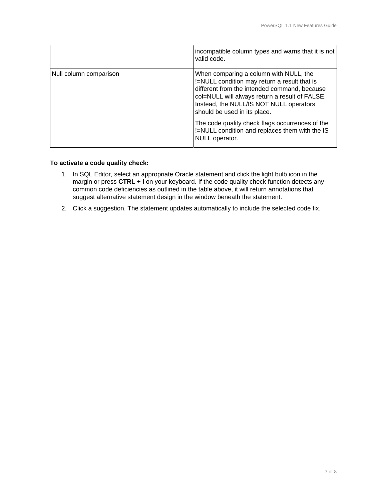|                        | incompatible column types and warns that it is not<br>valid code.                                                                                                                                                                                                                                                                                                                          |
|------------------------|--------------------------------------------------------------------------------------------------------------------------------------------------------------------------------------------------------------------------------------------------------------------------------------------------------------------------------------------------------------------------------------------|
| Null column comparison | When comparing a column with NULL, the<br>!=NULL condition may return a result that is<br>different from the intended command, because<br>col=NULL will always return a result of FALSE.<br>Instead, the NULL/IS NOT NULL operators<br>should be used in its place.<br>The code quality check flags occurrences of the<br>!=NULL condition and replaces them with the IS<br>NULL operator. |

#### **To activate a code quality check:**

- 1. In SQL Editor, select an appropriate Oracle statement and click the light bulb icon in the margin or press CTRL + I on your keyboard. If the code quality check function detects any common code deficiencies as outlined in the table above, it will return annotations that suggest alternative statement design in the window beneath the statement.
- 2. Click a suggestion. The statement updates automatically to include the selected code fix.